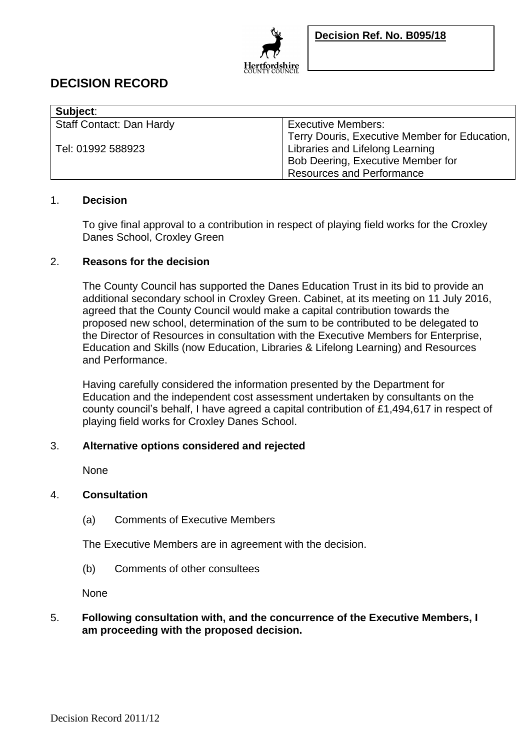

# **DECISION RECORD**

| Subject:                        |                                               |
|---------------------------------|-----------------------------------------------|
| <b>Staff Contact: Dan Hardy</b> | <b>Executive Members:</b>                     |
|                                 | Terry Douris, Executive Member for Education, |
| Tel: 01992 588923               | Libraries and Lifelong Learning               |
|                                 | Bob Deering, Executive Member for             |
|                                 | <b>Resources and Performance</b>              |

### 1. **Decision**

To give final approval to a contribution in respect of playing field works for the Croxley Danes School, Croxley Green

## 2. **Reasons for the decision**

The County Council has supported the Danes Education Trust in its bid to provide an additional secondary school in Croxley Green. Cabinet, at its meeting on 11 July 2016, agreed that the County Council would make a capital contribution towards the proposed new school, determination of the sum to be contributed to be delegated to the Director of Resources in consultation with the Executive Members for Enterprise, Education and Skills (now Education, Libraries & Lifelong Learning) and Resources and Performance.

Having carefully considered the information presented by the Department for Education and the independent cost assessment undertaken by consultants on the county council's behalf, I have agreed a capital contribution of £1,494,617 in respect of playing field works for Croxley Danes School.

## 3. **Alternative options considered and rejected**

None

## 4. **Consultation**

(a) Comments of Executive Members

The Executive Members are in agreement with the decision.

(b) Comments of other consultees

None

## 5. **Following consultation with, and the concurrence of the Executive Members, I am proceeding with the proposed decision.**